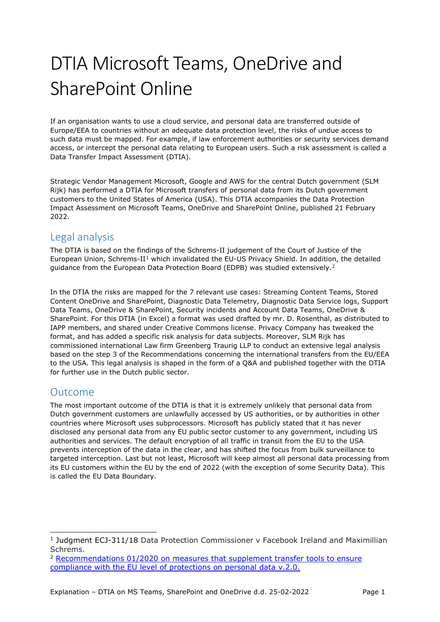# DTIA Microsoft Teams, OneDrive and SharePoint Online

If an organisation wants to use a cloud service, and personal data are transferred outside of Europe/EEA to countries without an adequate data protection level, the risks of undue access to such data must be mapped. For example, if law enforcement authorities or security services demand access, or intercept the personal data relating to European users. Such a risk assessment is called a Data Transfer Impact Assessment (DTIA).

Strategic Vendor Management Microsoft, Google and AWS for the central Dutch government (SLM Rijk) has performed a DTIA for Microsoft transfers of personal data from its Dutch government customers to the United States of America (USA). This DTIA accompanies the [Data Protection](https://slmmicrosoftrijk.nl/?smd_process_download=1&download_id=5226)  Impact Assessment on Microsoft [Teams, OneDrive and SharePoint Online,](https://slmmicrosoftrijk.nl/?smd_process_download=1&download_id=5226) published 21 February 2022.

### Legal analysis

The DTIA is based on the findings of the [Schrems-II judgement](https://curia.europa.eu/juris/document/document.jsf?text=&docid=228677&pageIndex=0&doclang=EN&mode=lst&dir=&occ=first&part=1&cid=9745404) of the Court of Justice of the European Union, Schrems-II[1](#page-0-0) which invalidated the EU-US Privacy Shield. In addition, the detailed guidance from the European Data Protection Board (EDPB) was studied extensively.<sup>[2](#page-0-1)</sup>

In the DTIA the risks are mapped for the 7 relevant use cases: Streaming Content Teams, Stored Content OneDrive and SharePoint, Diagnostic Data Telemetry, Diagnostic Data Service logs, Support Data Teams, OneDrive & SharePoint, Security incidents and Account Data Teams, OneDrive & SharePoint. For this DTIA (in Excel) a format was used drafted by mr. D. Rosenthal, as distributed to IAPP members, and shared under Creative Commons license. Privacy Company has tweaked the format, and has added a specific risk analysis for data subjects. Moreover, SLM Rijk has commissioned international Law firm Greenberg Traurig LLP to conduct an extensive legal analysis based on the step 3 of the Recommendations concerning the international transfers from the EU/EEA to the USA. This legal analysis is shaped in the form of a Q&A and published together with the DTIA for further use in the Dutch public sector.

### Outcome

The most important outcome of the DTIA is that it is extremely unlikely that personal data from Dutch government customers are unlawfully accessed by US authorities, or by authorities in other countries where Microsoft uses subprocessors. Microsoft has publicly stated that it has never disclosed any personal data from any EU public sector customer to any government, including US authorities and services. The default encryption of all traffic in transit from the EU to the USA prevents interception of the data in the clear, and has shifted the focus from bulk surveillance to targeted interception. Last but not least, Microsoft will keep almost all personal data processing from its EU customers within the EU by the end of 2022 (with the exception of some Security Data). This is called the EU Data Boundary.

<span id="page-0-0"></span><sup>&</sup>lt;sup>1</sup> Judgment ECJ-311/18 Data Protection Commissioner v Facebook Ireland and Maximillian Schrems.

<span id="page-0-1"></span><sup>&</sup>lt;sup>2</sup> Recommendations 01/2020 on measures that supplement transfer tools to ensure [compliance with the EU level of protections on personal data v.2.0.](https://edpb.europa.eu/our-work-tools/our-documents/recommendations/recommendations-012020-measures-supplement-transfer_en)